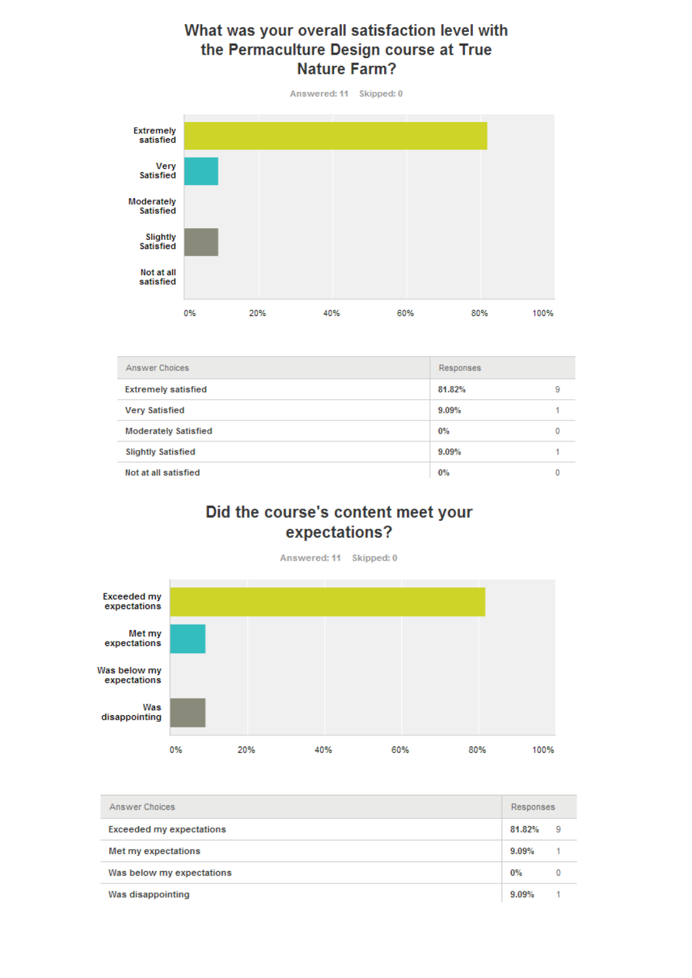#### What was your overall satisfaction level with the Permaculture Design course at True **Nature Farm?**

Answered: 11 Skipped: 0



| Answer Choices              | Responses |   |
|-----------------------------|-----------|---|
| <b>Extremely satisfied</b>  | 81.82%    | 9 |
| <b>Very Satisfied</b>       | 9.09%     |   |
| <b>Moderately Satisfied</b> | 0%        | Ω |
| <b>Slightly Satisfied</b>   | 9.09%     |   |
| Not at all satisfied        | 0%        |   |

### Did the course's content meet your expectations?



| Answer Choices                  | Responses |   |
|---------------------------------|-----------|---|
| <b>Exceeded my expectations</b> | 81.82%    | 9 |
| Met my expectations             | $9.09\%$  |   |
| Was below my expectations       | $0\%$     | 0 |
| Was disappointing               | 9.09%     |   |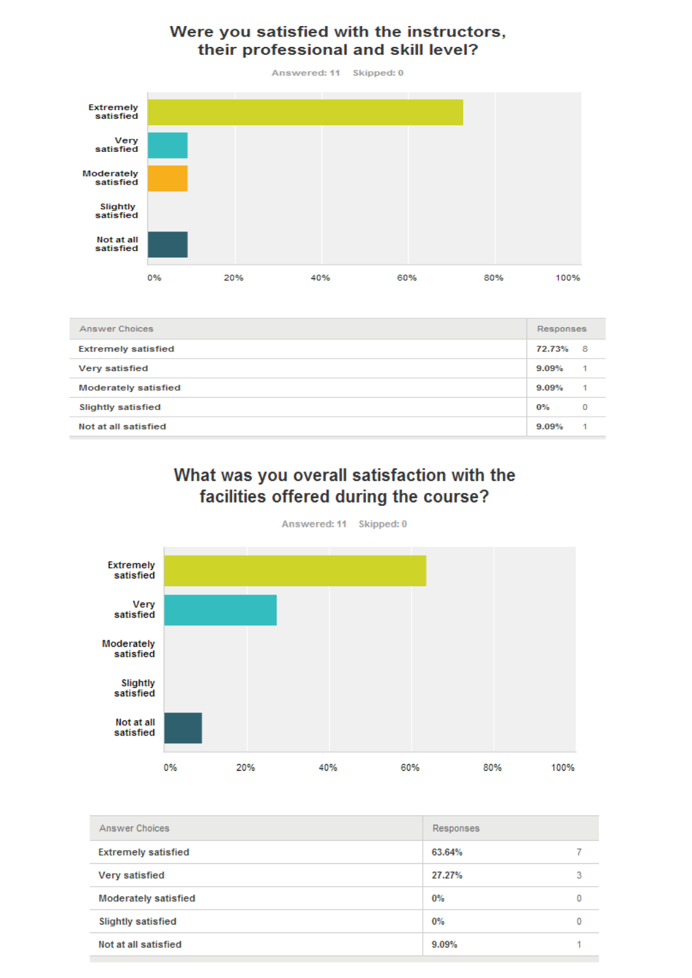#### Were you satisfied with the instructors, their professional and skill level?

Answered: 11 Skipped: 0



| Answer Choices             | Responses |    |
|----------------------------|-----------|----|
| <b>Extremely satisfied</b> | 72.73% 8  |    |
| Very satisfied             | $9.09\%$  | 1. |
| Moderately satisfied       | $9.09\%$  | 1. |
| <b>Slightly satisfied</b>  | $0\%$     | 0  |
| Not at all satisfied       | $9.09\%$  | 1. |

## What was you overall satisfaction with the facilities offered during the course?

Answered: 11 Skipped: 0



| Answer Choices              | Responses |   |
|-----------------------------|-----------|---|
| <b>Extremely satisfied</b>  | 63.64%    |   |
| Very satisfied              | 27.27%    | 3 |
| <b>Moderately satisfied</b> | $0\%$     | 0 |
| <b>Slightly satisfied</b>   | $0\%$     |   |
| Not at all satisfied        | 9.09%     |   |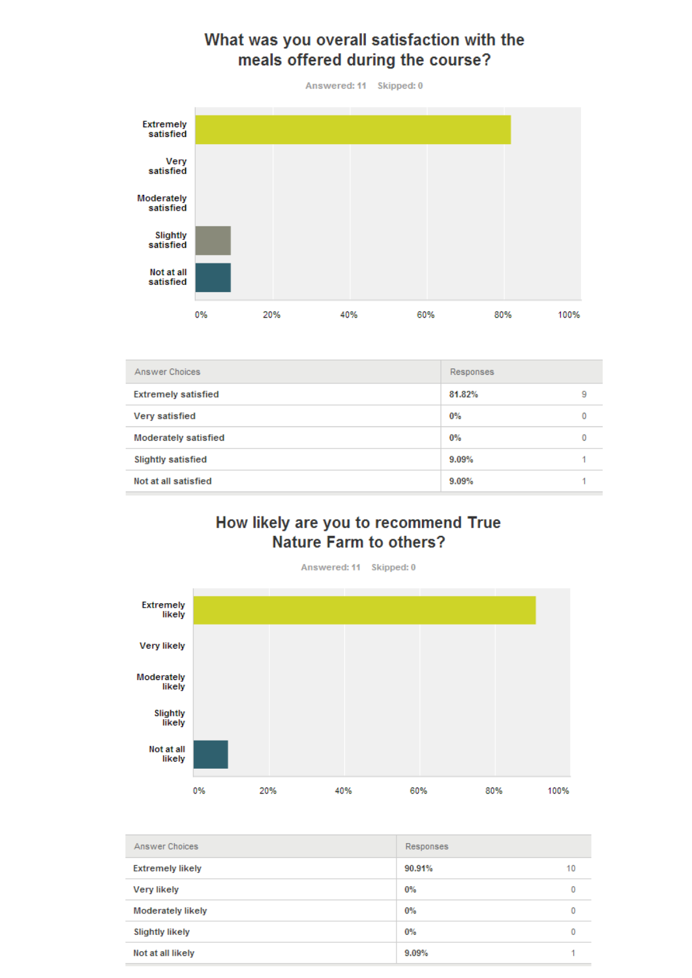## What was you overall satisfaction with the meals offered during the course?



| Answer Choices              | Responses |   |
|-----------------------------|-----------|---|
| <b>Extremely satisfied</b>  | 81.82%    | 9 |
| Very satisfied              | $0\%$     | 0 |
| <b>Moderately satisfied</b> | 0%        | 0 |
| <b>Slightly satisfied</b>   | 9.09%     |   |
| Not at all satisfied        | 9.09%     |   |

#### How likely are you to recommend True **Nature Farm to others?**



| Answer Choices          | Responses |    |
|-------------------------|-----------|----|
| <b>Extremely likely</b> | 90.91%    | 10 |
| <b>Very likely</b>      | $0\%$     | 0  |
| Moderately likely       | $0\%$     | ٥  |
| <b>Slightly likely</b>  | $0\%$     | ٥  |
| Not at all likely       | 9.09%     |    |